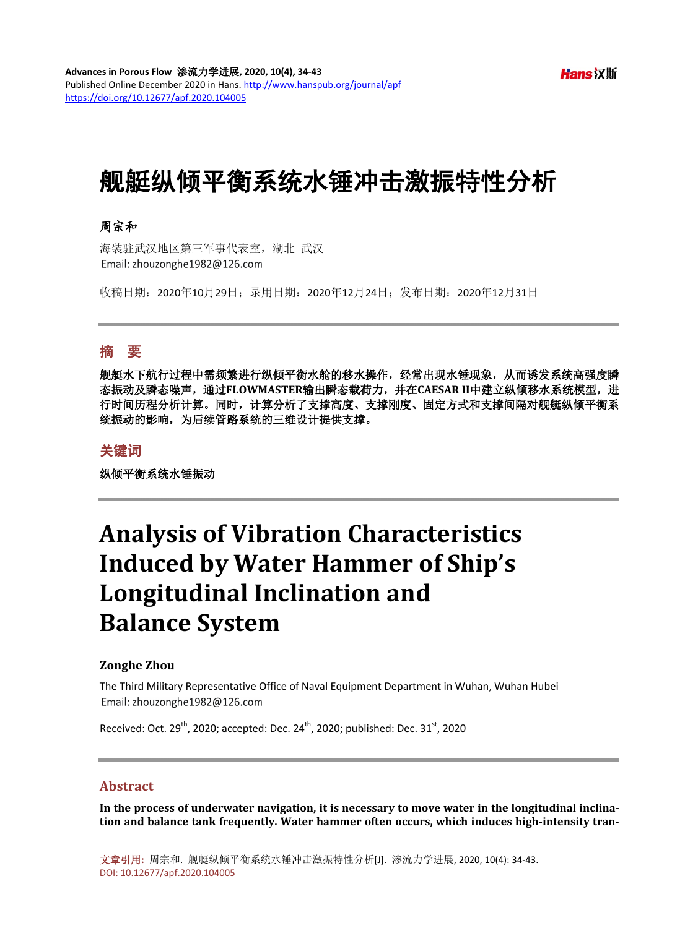# 舰艇纵倾平衡系统水锤冲击激振特性分析

## 周宗和

海装驻武汉地区第三军事代表室,湖北 武汉 Email: zhouzonghe1982@126.com

收稿日期:2020年10月29日;录用日期:2020年12月24日;发布日期:2020年12月31日

# 摘 要

舰艇水下航行过程中需频繁进行纵倾平衡水舱的移水操作,经常出现水锤现象,从而诱发系统高强度瞬 态振动及瞬态噪声,通过**FLOWMASTER**输出瞬态载荷力,并在**CAESAR II**中建立纵倾移水系统模型,进 行时间历程分析计算。同时,计算分析了支撑高度、支撑刚度、固定方式和支撑间隔对舰艇纵倾平衡系 统振动的影响,为后续管路系统的三维设计提供支撑。

## 关键词

纵倾平衡系统水锤振动

# **Analysis of Vibration Characteristics Induced by Water Hammer of Ship's Longitudinal Inclination and Balance System**

## **Zonghe Zhou**

The Third Military Representative Office of Naval Equipment Department in Wuhan, Wuhan Hubei Email: zhouzonghe1982@126.com

Received: Oct. 29<sup>th</sup>, 2020; accepted: Dec. 24<sup>th</sup>, 2020; published: Dec. 31<sup>st</sup>, 2020

#### **Abstract**

**In the process of underwater navigation, it is necessary to move water in the longitudinal inclination and balance tank frequently. Water hammer often occurs, which induces high-intensity tran-**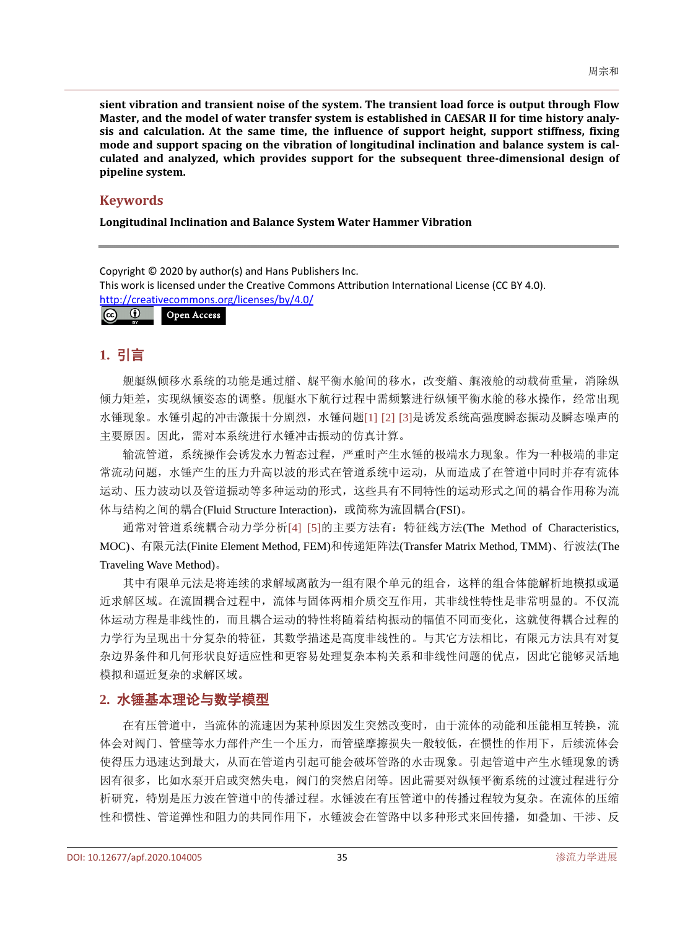**sient vibration and transient noise of the system. The transient load force is output through Flow Master, and the model of water transfer system is established in CAESAR II for time history analysis and calculation. At the same time, the influence of support height, support stiffness, fixing mode and support spacing on the vibration of longitudinal inclination and balance system is calculated and analyzed, which provides support for the subsequent three-dimensional design of pipeline system.**

#### **Keywords**

**Longitudinal Inclination and Balance System Water Hammer Vibration**

Copyright © 2020 by author(s) and Hans Publishers Inc. This work is licensed under the Creative Commons Attribution International License (CC BY 4.0). <http://creativecommons.org/licenses/by/4.0/>  $\odot$   $\odot$ Open Access

## **1.** 引言

舰艇纵倾移水系统的功能是通过艏、艉平衡水舱间的移水,改变艏、艉液舱的动载荷重量,消除纵 倾力矩差,实现纵倾姿态的调整。舰艇水下航行过程中需频繁进行纵倾平衡水舱的移水操作,经常出现 水锤现象。水锤引起的冲击激振十分剧烈,水锤问题[\[1\]](#page-9-0) [\[2\]](#page-9-1) [\[3\]](#page-9-2)是诱发系统高强度瞬态振动及瞬态噪声的 主要原因。因此,需对本系统进行水锤冲击振动的仿真计算。

输流管道,系统操作会诱发水力暂态过程,严重时产生水锤的极端水力现象。作为一种极端的非定 常流动问题,水锤产生的压力升高以波的形式在管道系统中运动,从而造成了在管道中同时并存有流体 运动、压力波动以及管道振动等多种运动的形式,这些具有不同特性的运动形式之间的耦合作用称为流 体与结构之间的耦合(Fluid Structure Interaction), 或简称为流固耦合(FSI)。

通常对管道系统耦合动力学分析[\[4\]](#page-9-3) [\[5\]](#page-9-4)的主要方法有:特征线方法(The Method of Characteristics, MOC)、有限元法(Finite Element Method, FEM)和传递矩阵法(Transfer Matrix Method, TMM)、行波法(The Traveling Wave Method)。

其中有限单元法是将连续的求解域离散为一组有限个单元的组合,这样的组合体能解析地模拟或逼 近求解区域。在流固耦合过程中,流体与固体两相介质交互作用,其非线性特性是非常明显的。不仅流 体运动方程是非线性的,而且耦合运动的特性将随着结构振动的幅值不同而变化,这就使得耦合过程的 力学行为呈现出十分复杂的特征,其数学描述是高度非线性的。与其它方法相比,有限元方法具有对复 杂边界条件和几何形状良好适应性和更容易处理复杂本构关系和非线性问题的优点,因此它能够灵活地 模拟和逼近复杂的求解区域。

## **2.** 水锤基本理论与数学模型

在有压管道中,当流体的流速因为某种原因发生突然改变时,由于流体的动能和压能相互转换,流 体会对阀门、管壁等水力部件产生一个压力,而管壁摩擦损失一般较低,在惯性的作用下,后续流体会 使得压力迅速达到最大,从而在管道内引起可能会破坏管路的水击现象。引起管道中产生水锤现象的诱 因有很多,比如水泵开启或突然失电,阀门的突然启闭等。因此需要对纵倾平衡系统的过渡过程进行分 析研究,特别是压力波在管道中的传播过程。水锤波在有压管道中的传播过程较为复杂。在流体的压缩 性和惯性、管道弹性和阻力的共同作用下,水锤波会在管路中以多种形式来回传播,如叠加、干涉、反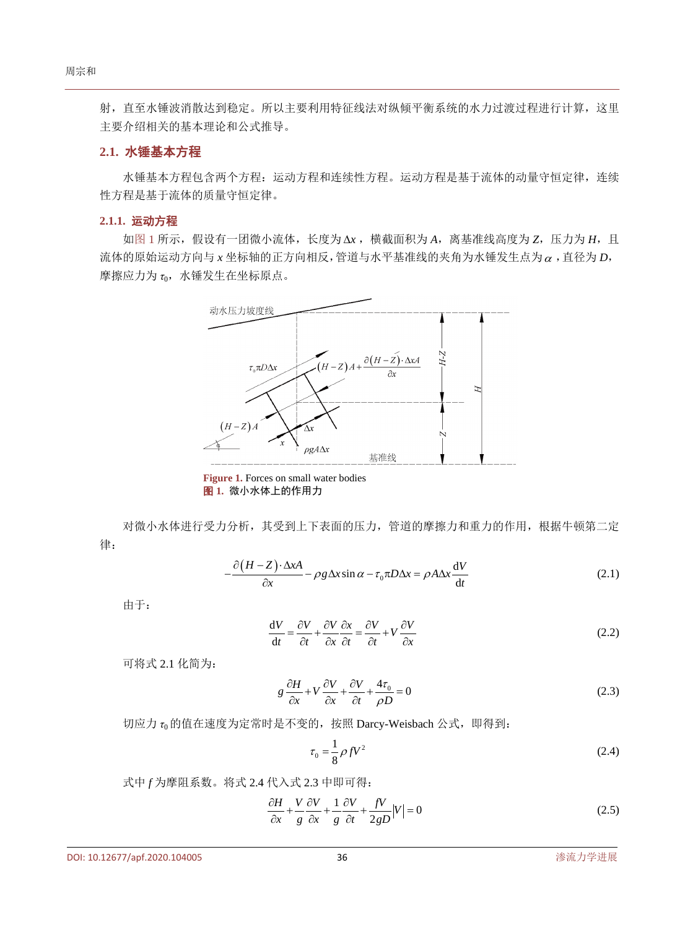射,直至水锤波消散达到稳定。所以主要利用特征线法对纵倾平衡系统的水力过渡过程进行计算,这里 主要介绍相关的基本理论和公式推导。

## **2.1.** 水锤基本方程

水锤基本方程包含两个方程:运动方程和连续性方程。运动方程是基于流体的动量守恒定律,连续 性方程是基于流体的质量守恒定律。

#### **2.1.1.** 运动方程

<span id="page-2-0"></span>[如图](#page-2-0) 1 所示,假设有一团微小流体,长度为 ∆*x* ,横截面积为 *A*,离基准线高度为 *Z*,压力为 *H*,且 流体的原始运动方向与 *x* 坐标轴的正方向相反,管道与水平基准线的夹角为水锤发生点为<sup>α</sup> ,直径为 *D*, 摩擦应力为 *τ*0,水锤发生在坐标原点。



**Figure 1.** Forces on small water bodies 图 **1.** 微小水体上的作用力

对微小水体进行受力分析,其受到上下表面的压力,管道的摩擦力和重力的作用,根据牛顿第二定 律:

$$
-\frac{\partial (H - Z) \cdot \Delta x A}{\partial x} - \rho g \Delta x \sin \alpha - \tau_0 \pi D \Delta x = \rho A \Delta x \frac{dV}{dt}
$$
 (2.1)

由于:

$$
\frac{dV}{dt} = \frac{\partial V}{\partial t} + \frac{\partial V}{\partial x}\frac{\partial x}{\partial t} = \frac{\partial V}{\partial t} + V\frac{\partial V}{\partial x}
$$
(2.2)

可将式 2.1 化简为:

$$
g\frac{\partial H}{\partial x} + V\frac{\partial V}{\partial x} + \frac{\partial V}{\partial t} + \frac{4\tau_0}{\rho D} = 0
$$
\n(2.3)

切应力 *τ*0的值在速度为定常时是不变的,按照 Darcy-Weisbach 公式,即得到:

$$
\tau_0 = \frac{1}{8} \rho f V^2 \tag{2.4}
$$

式中 *f* 为摩阻系数。将式 2.4 代入式 2.3 中即可得:

$$
\frac{\partial H}{\partial x} + \frac{V}{g} \frac{\partial V}{\partial x} + \frac{1}{g} \frac{\partial V}{\partial t} + \frac{fV}{2gD} |V| = 0
$$
\n(2.5)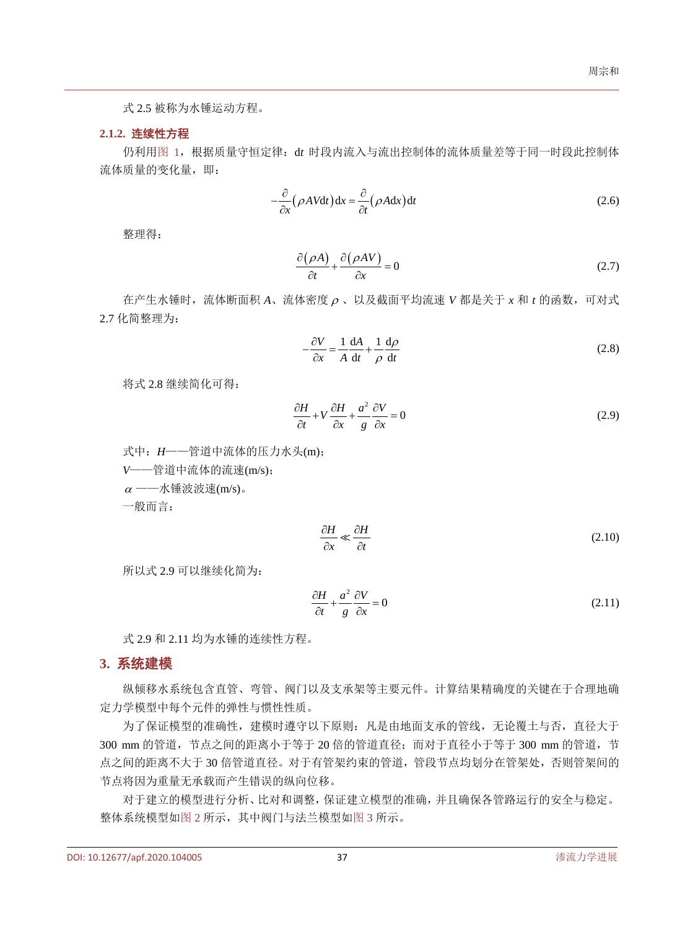式 2.5 被称为水锤运动方程。

#### **2.1.2.** 连续性方程

仍利[用图](#page-2-0) 1,根据质量守恒定律:d*t* 时段内流入与流出控制体的流体质量差等于同一时段此控制体 流体质量的变化量,即:

$$
-\frac{\partial}{\partial x}(\rho A V dt) dx = \frac{\partial}{\partial t}(\rho A dx) dt
$$
 (2.6)

整理得:

$$
\frac{\partial(\rho A)}{\partial t} + \frac{\partial(\rho A V)}{\partial x} = 0
$$
\n(2.7)

在产生水锤时,流体断面积 *A*、流体密度 <sup>ρ</sup> 、以及截面平均流速 *V* 都是关于 *x* 和 *t* 的函数,可对式 2.7 化简整理为:

$$
-\frac{\partial V}{\partial x} = \frac{1}{A} \frac{dA}{dt} + \frac{1}{\rho} \frac{d\rho}{dt}
$$
 (2.8)

将式 2.8 继续简化可得:

$$
\frac{\partial H}{\partial t} + V \frac{\partial H}{\partial x} + \frac{a^2}{g} \frac{\partial V}{\partial x} = 0
$$
\n(2.9)

式中:*H*——管道中流体的压力水头(m);

*V*——管道中流体的流速(m/s);

 $\alpha$  ——水锤波波速(m/s)。

一般而言:

$$
\frac{\partial H}{\partial x} \ll \frac{\partial H}{\partial t} \tag{2.10}
$$

所以式 2.9 可以继续化简为:

$$
\frac{\partial H}{\partial t} + \frac{a^2}{g} \frac{\partial V}{\partial x} = 0
$$
\n(2.11)

式 2.9 和 2.11 均为水锤的连续性方程。

### **3.** 系统建模

纵倾移水系统包含直管、弯管、阀门以及支承架等主要元件。计算结果精确度的关键在于合理地确 定力学模型中每个元件的弹性与惯性性质。

为了保证模型的准确性,建模时遵守以下原则:凡是由地面支承的管线,无论覆土与否,直径大于 300 mm 的管道, 节点之间的距离小于等于 20 倍的管道直径; 而对于直径小于等于 300 mm 的管道, 节 点之间的距离不大于 30 倍管道直径。对于有管架约束的管道,管段节点均划分在管架处,否则管架间的 节点将因为重量无承载而产生错误的纵向位移。

对于建立的模型进行分析、比对和调整,保证建立模型的准确,并且确保各管路运行的安全与稳定。 整体系统模型[如图](#page-4-0) 2 所示,其中阀门与法兰模型[如图](#page-4-1) 3 所示。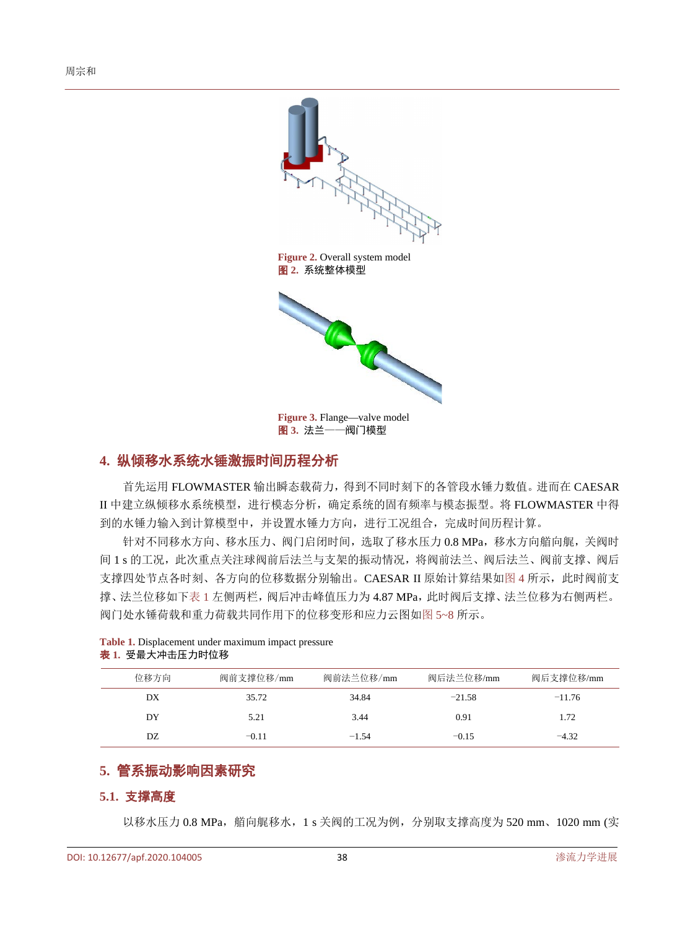<span id="page-4-0"></span>

图 **3.** 法兰——阀门模型

## <span id="page-4-1"></span>**4.** 纵倾移水系统水锤激振时间历程分析

首先运用 FLOWMASTER 输出瞬态载荷力,得到不同时刻下的各管段水锤力数值。进而在 CAESAR II 中建立纵倾移水系统模型,进行模态分析,确定系统的固有频率与模态振型。将 FLOWMASTER 中得 到的水锤力输入到计算模型中,并设置水锤力方向,进行工况组合,完成时间历程计算。

针对不同移水方向、移水压力、阀门启闭时间,选取了移水压力 0.8 MPa,移水方向艏向艉,关阀时 间 1 s 的工况, 此次重点关注球阀前后法兰与支架的振动情况, 将阀前法兰、阀后法兰、阀前支撑、阀后 支撑四处节点各时刻、各方向的位移数据分别输出。CAESAR II 原始计算结果[如图](#page-5-0) 4 所示,此时阀前支 撑、法兰位移如[下表](#page-4-2) 1 左侧两栏, 阀后冲击峰值压力为 4.87 MPa, 此时阀后支撑、法兰位移为右侧两栏。 阀门处水锤荷载和重力荷载共同作用下的位移变形和应力云图如图 [5~8](#page-5-1) 所示。

| 位移方向 | 阀前支撑位移/mm | 阀前法兰位移/mm | 阀后法兰位移/mm | 阀后支撑位移/mm |
|------|-----------|-----------|-----------|-----------|
| DX   | 35.72     | 34.84     | $-21.58$  | $-11.76$  |
| DY   | 5.21      | 3.44      | 0.91      | 1.72      |
| DZ.  | $-0.11$   | $-1.54$   | $-0.15$   | $-4.32$   |

#### <span id="page-4-2"></span>**Table 1.** Displacement under maximum impact pressure 表 **1.** 受最大冲击压力时位移

## **5.** 管系振动影响因素研究

#### **5.1.** 支撑高度

以移水压力 0.8 MPa, 艏向艉移水, 1 s 关阀的工况为例, 分别取支撑高度为 520 mm、1020 mm (实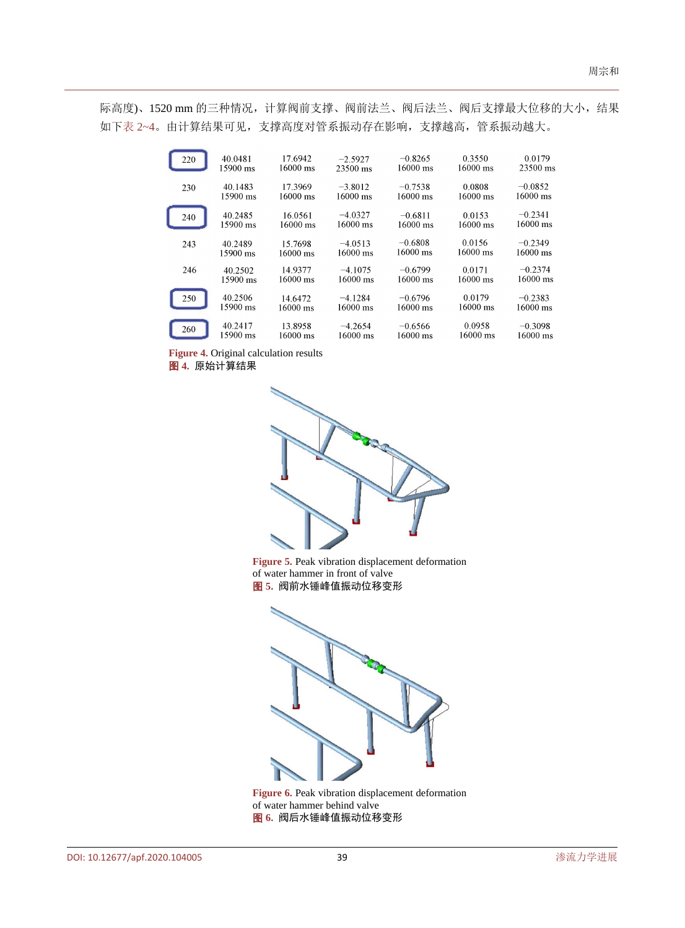<span id="page-5-0"></span>际高度)、1520 mm 的三种情况,计算阀前支撑、阀前法兰、阀后法兰、阀后支撑最大位移的大小,结果 如下表 [2~4](#page-6-0)。由计算结果可见,支撑高度对管系振动存在影响,支撑越高,管系振动越大。

| 220 | 40.0481  | 17.6942            | $-2.5927$          | $-0.8265$          | 0.3550             | 0.0179             |
|-----|----------|--------------------|--------------------|--------------------|--------------------|--------------------|
|     | 15900 ms | $16000 \text{ ms}$ | 23500 ms           | $16000 \text{ ms}$ | $16000 \text{ ms}$ | 23500 ms           |
| 230 | 40.1483  | 17.3969            | $-3.8012$          | $-0.7538$          | 0.0808             | $-0.0852$          |
|     | 15900 ms | $16000 \text{ ms}$ | 16000 ms           | $16000 \text{ ms}$ | $16000 \text{ ms}$ | $16000 \text{ ms}$ |
| 240 | 40.2485  | 16.0561            | $-4.0327$          | $-0.6811$          | 0.0153             | $-0.2341$          |
|     | 15900 ms | 16000 ms           | $16000 \text{ ms}$ | $16000 \text{ ms}$ | $16000 \text{ ms}$ | 16000 ms           |
| 243 | 40.2489  | 15.7698            | $-4.0513$          | $-0.6808$          | 0.0156             | $-0.2349$          |
|     | 15900 ms | 16000 ms           | 16000 ms           | 16000 ms           | 16000 ms           | $16000 \text{ ms}$ |
| 246 | 40.2502  | 14.9377            | $-4.1075$          | $-0.6799$          | 0.0171             | $-0.2374$          |
|     | 15900 ms | $16000 \text{ ms}$ | 16000 ms           | $16000 \text{ ms}$ | 16000 ms           | 16000 ms           |
| 250 | 40.2506  | 14.6472            | $-4.1284$          | $-0.6796$          | 0.0179             | $-0.2383$          |
|     | 15900 ms | $16000 \text{ ms}$ | 16000 ms           | $16000 \text{ ms}$ | 16000 ms           | 16000 ms           |
| 260 | 40.2417  | 13.8958            | $-4.2654$          | $-0.6566$          | 0.0958             | $-0.3098$          |
|     | 15900 ms | 16000 ms           | 16000 ms           | 16000 ms           | 16000 ms           | 16000 ms           |

**Figure 4.** Original calculation results

<span id="page-5-1"></span>图 **4.** 原始计算结果



Figure 5. Peak vibration displacement deformation of water hammer in front of valve 图 **5.** 阀前水锤峰值振动位移变形



Figure 6. Peak vibration displacement deformation of water hammer behind valve 图 **6.** 阀后水锤峰值振动位移变形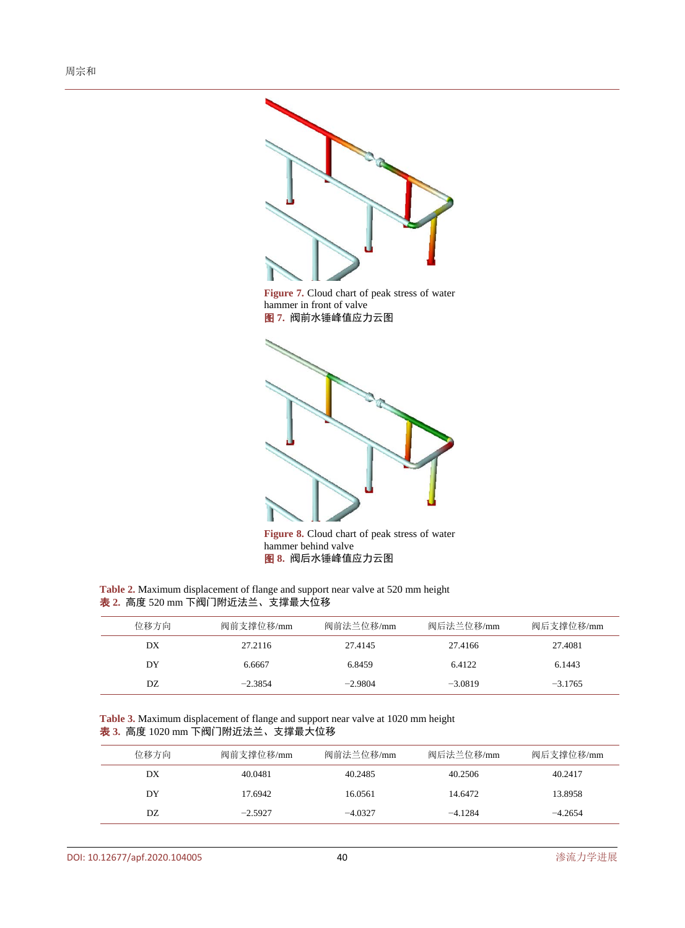



**Figure 8.** Cloud chart of peak stress of water hammer behind valve 图 **8.** 阀后水锤峰值应力云图

<span id="page-6-0"></span>**Table 2.** Maximum displacement of flange and support near valve at 520 mm height 表 **2.** 高度 520 mm 下阀门附近法兰、支撑最大位移

| 位移方向 | 阀前支撑位移/mm | 阀前法兰位移/mm | 阀后法兰位移/mm | 阀后支撑位移/mm |
|------|-----------|-----------|-----------|-----------|
| DX   | 27.2116   | 27.4145   | 27.4166   | 27.4081   |
| DY   | 6.6667    | 6.8459    | 6.4122    | 6.1443    |
| DZ.  | $-2.3854$ | $-2.9804$ | $-3.0819$ | $-3.1765$ |

**Table 3.** Maximum displacement of flange and support near valve at 1020 mm height 表 **3.** 高度 1020 mm 下阀门附近法兰、支撑最大位移

| 位移方向 | 阀前支撑位移/mm | 阀前法兰位移/mm | 阀后法兰位移/mm | 阀后支撑位移/mm |
|------|-----------|-----------|-----------|-----------|
| DX   | 40.0481   | 40.2485   | 40.2506   | 40.2417   |
| DY   | 17.6942   | 16.0561   | 14.6472   | 13.8958   |
| DZ.  | $-2.5927$ | $-4.0327$ | $-4.1284$ | $-4.2654$ |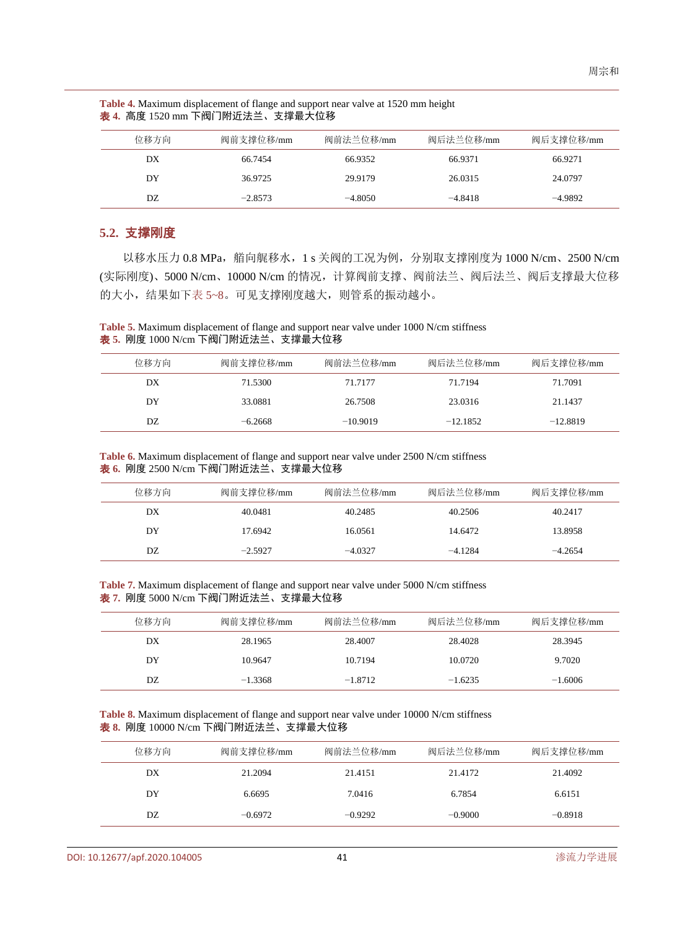| 位移方向 | 阀前支撑位移/mm | 阀前法兰位移/mm | 阀后法兰位移/mm | 阀后支撑位移/mm |
|------|-----------|-----------|-----------|-----------|
| DX   | 66.7454   | 66.9352   | 66.9371   | 66.9271   |
| DY   | 36.9725   | 29.9179   | 26.0315   | 24.0797   |
| DZ   | $-2.8573$ | $-4.8050$ | $-4.8418$ | $-4.9892$ |

**Table 4.** Maximum displacement of flange and support near valve at 1520 mm height 表 **4.** 高度 1520 mm 下阀门附近法兰、支撑最大位移

## **5.2.** 支撑刚度

以移水压力 0.8 MPa, 艏向艉移水, 1 s 关阀的工况为例, 分别取支撑刚度为 1000 N/cm、2500 N/cm (实际刚度)、5000 N/cm、10000 N/cm 的情况,计算阀前支撑、阀前法兰、阀后法兰、阀后支撑最大位移 的大小,结果如下表 [5~8](#page-7-0)。可见支撑刚度越大,则管系的振动越小。

<span id="page-7-0"></span>**Table 5.** Maximum displacement of flange and support near valve under 1000 N/cm stiffness 表 **5.** 刚度 1000 N/cm 下阀门附近法兰、支撑最大位移

| 位移方向 | 阀前支撑位移/mm | 阀前法兰位移/mm  | 阀后法兰位移/mm  | 阀后支撑位移/mm  |
|------|-----------|------------|------------|------------|
| DX   | 71.5300   | 71.7177    | 71.7194    | 71.7091    |
| DY   | 33.0881   | 26.7508    | 23.0316    | 21.1437    |
| DZ.  | $-6.2668$ | $-10.9019$ | $-12.1852$ | $-12.8819$ |

**Table 6.** Maximum displacement of flange and support near valve under 2500 N/cm stiffness 表 **6.** 刚度 2500 N/cm 下阀门附近法兰、支撑最大位移

| 位移方向 | 阀前支撑位移/mm | 阀前法兰位移/mm | 阀后法兰位移/mm | 阀后支撑位移/mm |
|------|-----------|-----------|-----------|-----------|
| DX   | 40.0481   | 40.2485   | 40.2506   | 40.2417   |
| DY   | 17.6942   | 16.0561   | 14.6472   | 13.8958   |
| DZ   | $-2.5927$ | $-4.0327$ | $-4.1284$ | $-4.2654$ |

**Table 7.** Maximum displacement of flange and support near valve under 5000 N/cm stiffness 表 **7.** 刚度 5000 N/cm 下阀门附近法兰、支撑最大位移

| 位移方向 | 阀前支撑位移/mm | 阀前法兰位移/mm | 阀后法兰位移/mm | 阀后支撑位移/mm |
|------|-----------|-----------|-----------|-----------|
| DX   | 28.1965   | 28.4007   | 28.4028   | 28.3945   |
| DY   | 10.9647   | 10.7194   | 10.0720   | 9.7020    |
| DZ.  | $-1.3368$ | $-1.8712$ | $-1.6235$ | $-1.6006$ |

**Table 8.** Maximum displacement of flange and support near valve under 10000 N/cm stiffness 表 **8.** 刚度 10000 N/cm 下阀门附近法兰、支撑最大位移

| 位移方向 | 阀前支撑位移/mm | 阀前法兰位移/mm | 阀后法兰位移/mm | 阀后支撑位移/mm |
|------|-----------|-----------|-----------|-----------|
| DX   | 21.2094   | 21.4151   | 21.4172   | 21.4092   |
| DY   | 6.6695    | 7.0416    | 6.7854    | 6.6151    |
| DZ.  | $-0.6972$ | $-0.9292$ | $-0.9000$ | $-0.8918$ |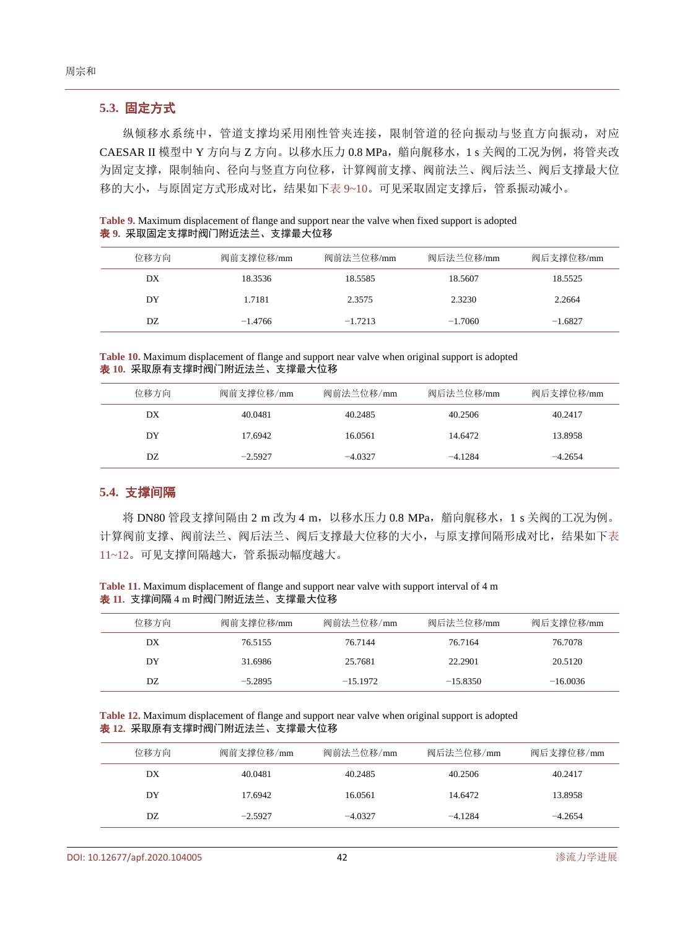## **5.3.** 固定方式

纵倾移水系统中,管道支撑均采用刚性管夹连接,限制管道的径向振动与竖直方向振动,对应 CAESAR II 模型中 Y 方向与 Z 方向。以移水压力 0.8 MPa, 艏向艉移水, 1 s 关阀的工况为例, 将管夹改 为固定支撑,限制轴向、径向与竖直方向位移,计算阀前支撑、阀前法兰、阀后法兰、阀后支撑最大位 移的大小,与原固定方式形成对比,结果如下表 [9~10](#page-8-0)。可见采取固定支撑后,管系振动减小。

<span id="page-8-0"></span>

| Table 9. Maximum displacement of flange and support near the valve when fixed support is adopted |  |  |
|--------------------------------------------------------------------------------------------------|--|--|
| <b>表 9.</b> 采取固定支撑时阀门附近法兰、支撑最大位移                                                                 |  |  |

| 位移方向 | 阀前支撑位移/mm | 阀前法兰位移/mm | 阀后法兰位移/mm | 阀后支撑位移/mm |
|------|-----------|-----------|-----------|-----------|
| DX   | 18.3536   | 18.5585   | 18.5607   | 18.5525   |
| DY   | 1.7181    | 2.3575    | 2.3230    | 2.2664    |
| DZ   | $-1.4766$ | $-1.7213$ | $-1.7060$ | $-1.6827$ |

**Table 10.** Maximum displacement of flange and support near valve when original support is adopted 表 **10.** 采取原有支撑时阀门附近法兰、支撑最大位移

| 位移方向 | 阀前支撑位移/mm | 阀前法兰位移/mm | 阀后法兰位移/mm | 阀后支撑位移/mm |
|------|-----------|-----------|-----------|-----------|
| DX   | 40.0481   | 40.2485   | 40.2506   | 40.2417   |
| DY   | 17.6942   | 16.0561   | 14.6472   | 13.8958   |
| DZ.  | $-2.5927$ | $-4.0327$ | $-4.1284$ | $-4.2654$ |

#### **5.4.** 支撑间隔

将 DN80 管段支撑间隔由 2 m 改为 4 m, 以移水压力 0.8 MPa, 艏向艉移水, 1 s 关阀的工况为例。 计算阀前支撑、阀前法兰、阀后法兰、阀后支撑最大位移的大小,与原支撑间隔形成对比,结果如[下表](#page-8-1) [11~12](#page-8-1)。可见支撑间隔越大,管系振动幅度越大。

<span id="page-8-1"></span>**Table 11.** Maximum displacement of flange and support near valve with support interval of 4 m 表 **11.** 支撑间隔 4 m 时阀门附近法兰、支撑最大位移

| 位移方向 | 阀前支撑位移/mm | 阀前法兰位移/mm  | 阀后法兰位移/mm  | 阀后支撑位移/mm  |
|------|-----------|------------|------------|------------|
| DX   | 76.5155   | 76.7144    | 76.7164    | 76.7078    |
| DY   | 31.6986   | 25.7681    | 22.2901    | 20.5120    |
| DZ   | $-5.2895$ | $-15.1972$ | $-15.8350$ | $-16.0036$ |

**Table 12.** Maximum displacement of flange and support near valve when original support is adopted 表 **12.** 采取原有支撑时阀门附近法兰、支撑最大位移

| 位移方向 | 阀前支撑位移/mm | 阀前法兰位移/mm | 阀后法兰位移/mm | 阀后支撑位移/mm |
|------|-----------|-----------|-----------|-----------|
| DX   | 40.0481   | 40.2485   | 40.2506   | 40.2417   |
| DY   | 17.6942   | 16.0561   | 14.6472   | 13.8958   |
| DZ   | $-2.5927$ | $-4.0327$ | $-4.1284$ | $-4.2654$ |